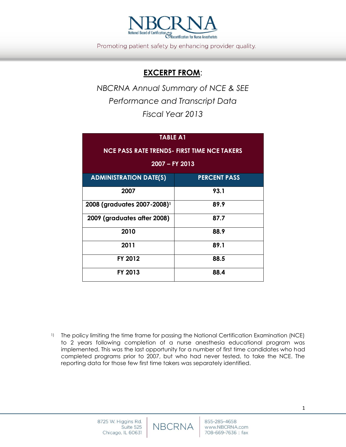

Promoting patient safety by enhancing provider quality.

## **EXCERPT FROM**:

*NBCRNA Annual Summary of NCE & SEE Performance and Transcript Data Fiscal Year 2013*

## **TABLE A1**

| <b>NCE PASS RATE TRENDS- FIRST TIME NCE TAKERS</b><br>2007 - FY 2013 |                     |  |  |  |  |  |
|----------------------------------------------------------------------|---------------------|--|--|--|--|--|
| <b>ADMINISTRATION DATE(S)</b>                                        | <b>PERCENT PASS</b> |  |  |  |  |  |
| 2007                                                                 | 93.1                |  |  |  |  |  |
| 2008 (graduates 2007-2008) <sup>1</sup>                              | 89.9                |  |  |  |  |  |
| 2009 (graduates after 2008)                                          | 87.7                |  |  |  |  |  |
| 2010                                                                 | 88.9                |  |  |  |  |  |
| 2011                                                                 | 89.1                |  |  |  |  |  |
| FY 2012                                                              | 88.5                |  |  |  |  |  |
| FY 2013                                                              | 88.4                |  |  |  |  |  |

<sup>1)</sup> The policy limiting the time frame for passing the National Certification Examination (NCE) to 2 years following completion of a nurse anesthesia educational program was implemented. This was the last opportunity for a number of first time candidates who had completed programs prior to 2007, but who had never tested, to take the NCE. The reporting data for those few first time takers was separately identified.